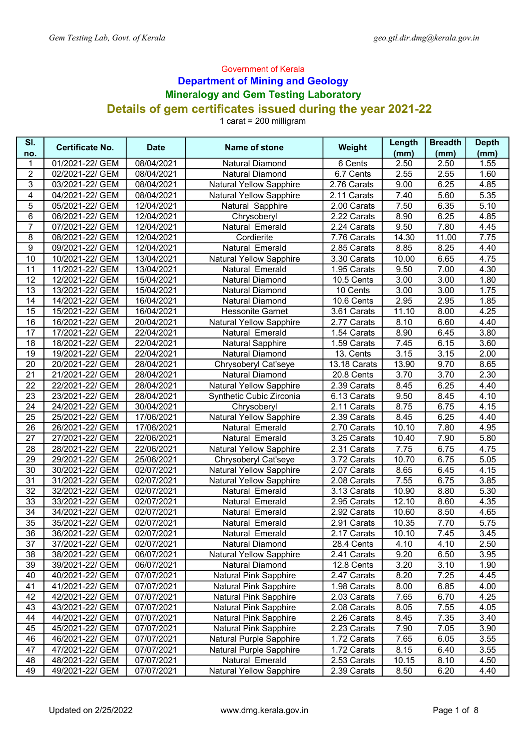## Government of Kerala Department of Mining and Geology Mineralogy and Gem Testing Laboratory Details of gem certificates issued during the year 2021-22

1 carat = 200 milligram

| SI.             | <b>Certificate No.</b>             | <b>Date</b>              | Name of stone                                     | Weight                     | Length       | <b>Breadth</b> | <b>Depth</b> |
|-----------------|------------------------------------|--------------------------|---------------------------------------------------|----------------------------|--------------|----------------|--------------|
| no.             |                                    |                          |                                                   |                            | (mm)         | (mm)           | (mm)         |
| 1               | 01/2021-22/ GEM                    | 08/04/2021               | <b>Natural Diamond</b>                            | 6 Cents                    | 2.50         | 2.50           | 1.55         |
| $\overline{c}$  | 02/2021-22/ GEM                    | 08/04/2021               | <b>Natural Diamond</b>                            | 6.7 Cents                  | 2.55         | 2.55           | 1.60         |
| 3               | 03/2021-22/ GEM                    | 08/04/2021               | <b>Natural Yellow Sapphire</b>                    | 2.76 Carats                | 9.00         | 6.25           | 4.85         |
| 4               | 04/2021-22/ GEM                    | 08/04/2021               | <b>Natural Yellow Sapphire</b>                    | 2.11 Carats                | 7.40         | 5.60           | 5.35         |
| 5               | 05/2021-22/ GEM                    | 12/04/2021               | Natural Sapphire                                  | 2.00 Carats                | 7.50         | 6.35           | 5.10         |
| 6               | 06/2021-22/ GEM                    | 12/04/2021               | Chrysoberyl                                       | 2.22 Carats                | 8.90         | 6.25           | 4.85         |
| $\overline{7}$  | 07/2021-22/ GEM                    | 12/04/2021               | Natural Emerald                                   | 2.24 Carats                | 9.50         | 7.80           | 4.45         |
| 8               | 08/2021-22/ GEM                    | 12/04/2021               | Cordierite                                        | 7.76 Carats                | 14.30        | 11.00          | 7.75         |
| 9               | 09/2021-22/ GEM                    | 12/04/2021               | Natural Emerald                                   | 2.85 Carats                | 8.85         | 8.25           | 4.40         |
| 10              | 10/2021-22/ GEM<br>11/2021-22/ GEM | 13/04/2021               | Natural Yellow Sapphire                           | 3.30 Carats                | 10.00        | 6.65<br>7.00   | 4.75         |
| 11              |                                    | 13/04/2021               | Natural Emerald                                   | 1.95 Carats                | 9.50         |                | 4.30         |
| 12<br>13        | 12/2021-22/ GEM<br>13/2021-22/ GEM | 15/04/2021               | Natural Diamond                                   | 10.5 Cents                 | 3.00         | 3.00<br>3.00   | 1.80<br>1.75 |
| 14              | 14/2021-22/ GEM                    | 15/04/2021<br>16/04/2021 | Natural Diamond<br>Natural Diamond                | 10 Cents                   | 3.00<br>2.95 | 2.95           | 1.85         |
| 15              | 15/2021-22/ GEM                    | 16/04/2021               | <b>Hessonite Garnet</b>                           | 10.6 Cents                 | 11.10        | 8.00           | 4.25         |
| 16              | 16/2021-22/ GEM                    |                          |                                                   | 3.61 Carats<br>2.77 Carats | 8.10         | 6.60           | 4.40         |
| 17              | 17/2021-22/ GEM                    | 20/04/2021<br>22/04/2021 | <b>Natural Yellow Sapphire</b><br>Natural Emerald | 1.54 Carats                | 8.90         | 6.45           | 3.80         |
| 18              | 18/2021-22/ GEM                    | 22/04/2021               | <b>Natural Sapphire</b>                           | 1.59 Carats                | 7.45         | 6.15           | 3.60         |
| 19              | 19/2021-22/ GEM                    | 22/04/2021               | <b>Natural Diamond</b>                            | 13. Cents                  | 3.15         | 3.15           | 2.00         |
|                 | 20/2021-22/ GEM                    |                          |                                                   |                            | 13.90        | 9.70           | 8.65         |
| 20<br>21        | 21/2021-22/ GEM                    | 28/04/2021<br>28/04/2021 | Chrysoberyl Cat'seye<br><b>Natural Diamond</b>    | 13.18 Carats<br>20.8 Cents | 3.70         | 3.70           | 2.30         |
| $\overline{22}$ | 22/2021-22/ GEM                    | 28/04/2021               | <b>Natural Yellow Sapphire</b>                    | 2.39 Carats                | 8.45         | 6.25           | 4.40         |
| 23              | 23/2021-22/ GEM                    | 28/04/2021               | Synthetic Cubic Zirconia                          | 6.13 Carats                | 9.50         | 8.45           | 4.10         |
| $\overline{24}$ | 24/2021-22/ GEM                    | 30/04/2021               | Chrysoberyl                                       | 2.11 Carats                | 8.75         | 6.75           | 4.15         |
| $\overline{25}$ | 25/2021-22/ GEM                    | 17/06/2021               | <b>Natural Yellow Sapphire</b>                    | 2.39 Carats                | 8.45         | 6.25           | 4.40         |
| 26              | 26/2021-22/ GEM                    | 17/06/2021               | Natural Emerald                                   | 2.70 Carats                | 10.10        | 7.80           | 4.95         |
| 27              | 27/2021-22/ GEM                    | 22/06/2021               | Natural Emerald                                   | 3.25 Carats                | 10.40        | 7.90           | 5.80         |
| 28              | 28/2021-22/ GEM                    | 22/06/2021               | <b>Natural Yellow Sapphire</b>                    | 2.31 Carats                | 7.75         | 6.75           | 4.75         |
| 29              | 29/2021-22/ GEM                    | 25/06/2021               | Chrysoberyl Cat'seye                              | 3.72 Carats                | 10.70        | 6.75           | 5.05         |
| 30              | 30/2021-22/ GEM                    | 02/07/2021               | <b>Natural Yellow Sapphire</b>                    | 2.07 Carats                | 8.65         | 6.45           | 4.15         |
| 31              | 31/2021-22/ GEM                    | 02/07/2021               | <b>Natural Yellow Sapphire</b>                    | 2.08 Carats                | 7.55         | 6.75           | 3.85         |
| 32              | 32/2021-22/ GEM                    | 02/07/2021               | Natural Emerald                                   | 3.13 Carats                | 10.90        | 8.80           | 5.30         |
| 33              | 33/2021-22/ GEM                    | 02/07/2021               | Natural Emerald                                   | 2.95 Carats                | 12.10        | 8.60           | 4.35         |
| 34              | 34/2021-22/ GEM                    | 02/07/2021               | Natural Emerald                                   | 2.92 Carats                | 10.60        | 8.50           | 4.65         |
| 35              | 35/2021-22/ GEM                    | 02/07/2021               | Natural Emerald                                   | 2.91 Carats                | 10.35        | 7.70           | 5.75         |
| $\overline{36}$ | 36/2021-22/ GEM                    | 02/07/2021               | Natural Emerald                                   | 2.17 Carats                | 10.10        | 7.45           | 3.45         |
| 37              | 37/2021-22/ GEM                    | 02/07/2021               | Natural Diamond                                   | 28.4 Cents                 | 4.10         | 4.10           | 2.50         |
| 38              | 38/2021-22/ GEM                    | 06/07/2021               | <b>Natural Yellow Sapphire</b>                    | 2.41 Carats                | 9.20         | 6.50           | 3.95         |
| 39              | 39/2021-22/ GEM                    | 06/07/2021               | Natural Diamond                                   | 12.8 Cents                 | 3.20         | 3.10           | 1.90         |
| 40              | 40/2021-22/ GEM                    | 07/07/2021               | Natural Pink Sapphire                             | 2.47 Carats                | 8.20         | 7.25           | 4.45         |
| 41              | 41/2021-22/ GEM                    | 07/07/2021               | <b>Natural Pink Sapphire</b>                      | 1.98 Carats                | 8.00         | 6.85           | 4.00         |
| 42              | 42/2021-22/ GEM                    | 07/07/2021               | Natural Pink Sapphire                             | 2.03 Carats                | 7.65         | 6.70           | 4.25         |
| 43              | 43/2021-22/ GEM                    | 07/07/2021               | <b>Natural Pink Sapphire</b>                      | 2.08 Carats                | 8.05         | 7.55           | 4.05         |
| 44              | 44/2021-22/ GEM                    | 07/07/2021               | <b>Natural Pink Sapphire</b>                      | 2.26 Carats                | 8.45         | 7.35           | 3.40         |
| 45              | 45/2021-22/ GEM                    | 07/07/2021               | Natural Pink Sapphire                             | 2.23 Carats                | 7.90         | 7.05           | 3.90         |
| 46              | 46/2021-22/ GEM                    | 07/07/2021               | Natural Purple Sapphire                           | 1.72 Carats                | 7.65         | 6.05           | 3.55         |
| 47              | 47/2021-22/ GEM                    | 07/07/2021               | Natural Purple Sapphire                           | 1.72 Carats                | 8.15         | 6.40           | 3.55         |
| 48              | 48/2021-22/ GEM                    | 07/07/2021               | Natural Emerald                                   | 2.53 Carats                | 10.15        | 8.10           | 4.50         |
| 49              | 49/2021-22/ GEM                    | 07/07/2021               | <b>Natural Yellow Sapphire</b>                    | 2.39 Carats                | 8.50         | 6.20           | 4.40         |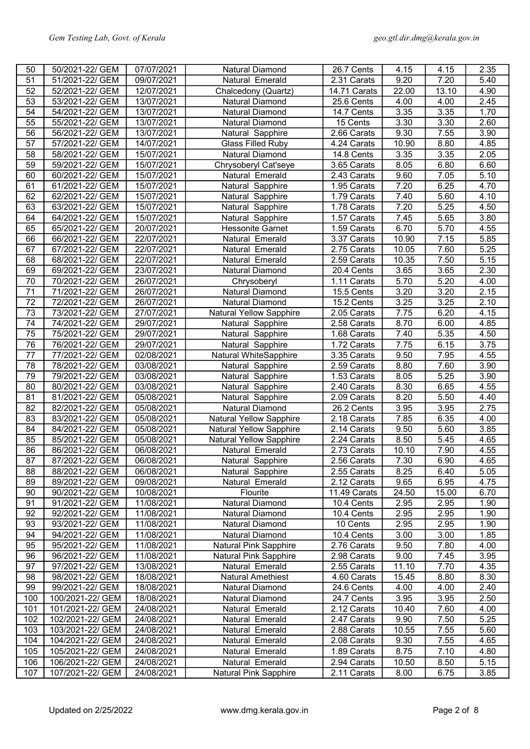| 50              | 50/2021-22/ GEM                    | 07/07/2021               | Natural Diamond                          | 26.7 Cents                | 4.15              | 4.15         | 2.35         |
|-----------------|------------------------------------|--------------------------|------------------------------------------|---------------------------|-------------------|--------------|--------------|
| 51              | 51/2021-22/ GEM                    | 09/07/2021               | Natural Emerald                          | 2.31 Carats               | 9.20              | 7.20         | 5.40         |
| 52              | 52/2021-22/ GEM                    | 12/07/2021               | Chalcedony (Quartz)                      | 14.71 Carats              | 22.00             | 13.10        | 4.90         |
| 53              | 53/2021-22/ GEM                    | 13/07/2021               | <b>Natural Diamond</b>                   | 25.6 Cents                | 4.00              | 4.00         | 2.45         |
| 54              | 54/2021-22/ GEM                    | 13/07/2021               | <b>Natural Diamond</b>                   | 14.7 Cents                | 3.35              | 3.35         | 1.70         |
| 55              | 55/2021-22/ GEM                    | 13/07/2021               | <b>Natural Diamond</b>                   | 15 Cents                  | $\overline{3.30}$ | 3.30         | 2.60         |
| 56              | 56/2021-22/ GEM                    | 13/07/2021               | Natural Sapphire                         | 2.66 Carats               | 9.30              | 7.55         | 3.90         |
| 57              | 57/2021-22/ GEM                    | 14/07/2021               | <b>Glass Filled Ruby</b>                 | 4.24 Carats               | 10.90             | 8.80         | 4.85         |
| 58              | 58/2021-22/ GEM                    | 15/07/2021               | <b>Natural Diamond</b>                   | 14.8 Cents                | 3.35              | 3.35         | 2.05         |
| 59              | 59/2021-22/ GEM                    | 15/07/2021               | Chrysoberyl Cat'seye                     | 3.65 Carats               | 8.05              | 6.80         | 6.60         |
| 60              | 60/2021-22/ GEM                    | 15/07/2021               | Natural Emerald                          | 2.43 Carats               | 9.60              | 7.05         | 5.10         |
| 61              | 61/2021-22/ GEM                    | 15/07/2021               | Natural Sapphire                         | 1.95 Carats               | 7.20              | 6.25         | 4.70         |
| 62              | 62/2021-22/ GEM                    | 15/07/2021               | Natural Sapphire                         | 1.79 Carats               | 7.40              | 5.60         | 4.10         |
| 63              | 63/2021-22/ GEM                    | 15/07/2021               | Natural Sapphire                         | 1.78 Carats               | 7.20              | 5.25         | 4.50         |
| 64              | 64/2021-22/ GEM                    | 15/07/2021               | Natural Sapphire                         | 1.57 Carats               | 7.45              | 5.65         | 3.80         |
| 65              | 65/2021-22/ GEM                    | 20/07/2021               | <b>Hessonite Garnet</b>                  | $1.59$ Carats             | 6.70              | 5.70         | 4.55         |
| 66              | 66/2021-22/ GEM                    | 22/07/2021               | Natural Emerald                          | 3.37 Carats               | 10.90             | 7.15         | 5.85         |
| 67              | 67/2021-22/ GEM                    | 22/07/2021               | Natural Emerald                          | 2.75 Carats               | 10.05             | 7.60         | 5.25         |
| 68              | 68/2021-22/ GEM                    | 22/07/2021               | Natural Emerald                          | 2.59 Carats               | 10.35             | 7.50         | 5.15         |
| 69              | 69/2021-22/ GEM                    | 23/07/2021               | <b>Natural Diamond</b>                   | 20.4 Cents                | 3.65              | 3.65         | 2.30         |
| 70              | 70/2021-22/ GEM                    | 26/07/2021               | Chrysoberyl                              | 1.11 Carats               | $\overline{5.70}$ | 5.20         | 4.00         |
| 71              | 71/2021-22/ GEM                    | 26/07/2021               | <b>Natural Diamond</b>                   | 15.5 Cents                | 3.20              | 3.20         | 2.15         |
| $\overline{72}$ | 72/2021-22/ GEM                    | 26/07/2021               | <b>Natural Diamond</b>                   | 15.2 Cents                | 3.25              | 3.25         | 2.10         |
| $\overline{73}$ | 73/2021-22/ GEM                    | 27/07/2021               | Natural Yellow Sapphire                  | 2.05 Carats               | 7.75              | 6.20         | 4.15         |
| $\overline{74}$ | 74/2021-22/ GEM                    | 29/07/2021               | Natural Sapphire                         | 2.58 Carats               | 8.70              | 6.00         | 4.85         |
| 75              | 75/2021-22/ GEM                    | 29/07/2021               | Natural Sapphire                         | 1.68 Carats               | 7.40              | 5.35         | 4.50         |
| $\overline{76}$ | 76/2021-22/ GEM                    | 29/07/2021               | Natural Sapphire                         | 1.72 Carats               | 7.75              | 6.15         | 3.75         |
| 77              | 77/2021-22/ GEM                    | 02/08/2021               | Natural WhiteSapphire                    | 3.35 Carats               | 9.50              | 7.95         | 4.55         |
| 78              | 78/2021-22/ GEM                    | 03/08/2021               | Natural Sapphire                         | 2.59 Carats               | 8.80              | 7.60         | 3.90         |
| 79              | 79/2021-22/ GEM                    | 03/08/2021               | Natural Sapphire                         | $1.53$ Carats             | 8.05              | 5.25         | 3.90         |
| 80              | 80/2021-22/ GEM                    | 03/08/2021               | Natural Sapphire                         | 2.40 Carats               | 8.30              | 6.65         | 4.55         |
| 81              | 81/2021-22/ GEM                    | 05/08/2021               | Natural Sapphire                         | 2.09 Carats               | 8.20              | 5.50         | 4.40         |
| 82              | 82/2021-22/ GEM                    | 05/08/2021               | <b>Natural Diamond</b>                   | $26.2$ Cents              | 3.95              | 3.95         | 2.75         |
| 83              | 83/2021-22/ GEM                    | 05/08/2021               | <b>Natural Yellow Sapphire</b>           | 2.18 Carats               | 7.85              | 6.35         | 4.00         |
| 84              | 84/2021-22/ GEM                    | 05/08/2021               | <b>Natural Yellow Sapphire</b>           | 2.14 Carats               | 9.50              | 5.60         | 3.85         |
| 85              | 85/2021-22/ GEM                    | 05/08/2021               | <b>Natural Yellow Sapphire</b>           | 2.24 Carats               | 8.50              | 5.45         | 4.65         |
| 86              | 86/2021-22/ GEM                    | 06/08/2021               | Natural Emerald                          | 2.73 Carats               | 10.10             | 7.90         | 4.55         |
| 87              | 87/2021-22/ GEM                    | 06/08/2021               | Natural Sapphire                         | 2.56 Carats               | 7.30              | 6.90         | 4.65         |
| 88              | 88/2021-22/ GEM                    | 06/08/2021               | Natural Sapphire                         | 2.55 Carats               | 8.25              | 6.40         | 5.05         |
| 89              | 89/2021-22/ GEM                    | 09/08/2021               | Natural Emerald                          | 2.12 Carats               | 9.65              | 6.95         | 4.75         |
| 90              | 90/2021-22/ GEM                    | 10/08/2021               | Flourite                                 | 11.49 Carats              | 24.50             | 15.00        | 6.70         |
| 91              | 91/2021-22/ GEM                    | 11/08/2021               | Natural Diamond                          | 10.4 Cents                | 2.95              | 2.95         | 1.90         |
| 92<br>93        | 92/2021-22/ GEM<br>93/2021-22/ GEM | 11/08/2021               | Natural Diamond                          | 10.4 Cents<br>10 Cents    | 2.95<br>2.95      | 2.95<br>2.95 | 1.90<br>1.90 |
|                 |                                    | 11/08/2021               | Natural Diamond                          |                           |                   |              |              |
| 94<br>95        | 94/2021-22/ GEM<br>95/2021-22/ GEM | 11/08/2021<br>11/08/2021 | Natural Diamond<br>Natural Pink Sapphire | 10.4 Cents<br>2.76 Carats | 3.00<br>9.50      | 3.00<br>7.80 | 1.85<br>4.00 |
| 96              | 96/2021-22/ GEM                    | 11/08/2021               | Natural Pink Sapphire                    | 2.98 Carats               | 9.00              | 7.45         | 3.95         |
| 97              | 97/2021-22/ GEM                    | 13/08/2021               | Natural Emerald                          | 2.55 Carats               | 11.10             | 7.70         | 4.35         |
| 98              | 98/2021-22/ GEM                    | 18/08/2021               | Natural Amethiest                        | 4.60 Carats               | 15.45             | 8.80         | 8.30         |
| 99              | 99/2021-22/ GEM                    | 18/08/2021               | Natural Diamond                          | 24.6 Cents                | 4.00              | 4.00         | 2.40         |
| 100             | 100/2021-22/ GEM                   | 18/08/2021               | Natural Diamond                          | 24.7 Cents                | 3.95              | 3.95         | 2.50         |
| 101             | 101/2021-22/ GEM                   | 24/08/2021               | Natural Emerald                          | 2.12 Carats               | 10.40             | 7.60         | 4.00         |
| 102             | 102/2021-22/ GEM                   | 24/08/2021               | Natural Emerald                          | 2.47 Carats               | 9.90              | 7.50         | 5.25         |
| 103             | 103/2021-22/ GEM                   | 24/08/2021               | Natural Emerald                          | 2.88 Carats               | 10.55             | 7.55         | 5.60         |
| 104             | 104/2021-22/ GEM                   | 24/08/2021               | Natural Emerald                          | 2.08 Carats               | 9.30              | 7.55         | 4.65         |
| 105             | 105/2021-22/ GEM                   | 24/08/2021               | Natural Emerald                          | 1.89 Carats               | 8.75              | 7.10         | 4.80         |
| 106             | 106/2021-22/ GEM                   | 24/08/2021               | Natural Emerald                          | 2.94 Carats               | 10.50             | 8.50         | 5.15         |
| 107             | 107/2021-22/ GEM                   | 24/08/2021               | <b>Natural Pink Sapphire</b>             | 2.11 Carats               | 8.00              | 6.75         | 3.85         |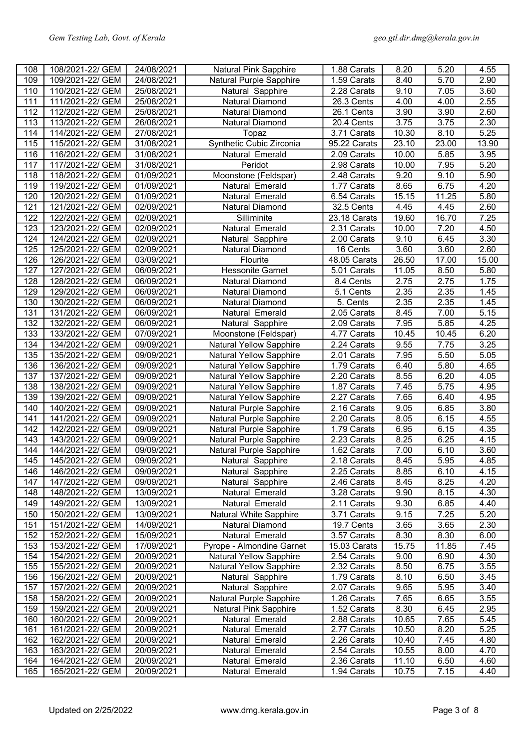| 108        | 108/2021-22/ GEM | 24/08/2021 | <b>Natural Pink Sapphire</b>   | 1.88 Carats                           | 8.20              | 5.20              | 4.55              |
|------------|------------------|------------|--------------------------------|---------------------------------------|-------------------|-------------------|-------------------|
| 109        | 109/2021-22/ GEM | 24/08/2021 | Natural Purple Sapphire        | 1.59 Carats                           | 8.40              | 5.70              | 2.90              |
| 110        | 110/2021-22/ GEM | 25/08/2021 | Natural Sapphire               | $2.28$ Carats                         | 9.10              | 7.05              | 3.60              |
| 111        | 111/2021-22/ GEM | 25/08/2021 | <b>Natural Diamond</b>         | 26.3 Cents                            | 4.00              | 4.00              | 2.55              |
| 112        | 112/2021-22/ GEM | 25/08/2021 | <b>Natural Diamond</b>         | 26.1 Cents                            | 3.90              | 3.90              | 2.60              |
| 113        | 113/2021-22/ GEM | 26/08/2021 | <b>Natural Diamond</b>         | 20.4 Cents                            | $\overline{3.75}$ | 3.75              | 2.30              |
| 114        | 114/2021-22/ GEM | 27/08/2021 | Topaz                          | 3.71 Carats                           | 10.30             | 8.10              | $\overline{5.25}$ |
| 115        | 115/2021-22/ GEM | 31/08/2021 | Synthetic Cubic Zirconia       | 95.22 Carats                          | 23.10             | 23.00             | 13.90             |
| 116        | 116/2021-22/ GEM | 31/08/2021 | Natural Emerald                | 2.09 Carats                           | 10.00             | 5.85              | 3.95              |
| 117        | 117/2021-22/ GEM | 31/08/2021 | Peridot                        | 2.98 Carats                           | 10.00             | 7.95              | 5.20              |
| 118        | 118/2021-22/ GEM | 01/09/2021 | Moonstone (Feldspar)           | 2.48 Carats                           | 9.20              | 9.10              | 5.90              |
| 119        | 119/2021-22/ GEM | 01/09/2021 | Natural Emerald                | 1.77 Carats                           | 8.65              | 6.75              | 4.20              |
| 120        | 120/2021-22/ GEM | 01/09/2021 | Natural Emerald                | 6.54 Carats                           | 15.15             | 11.25             | 5.80              |
| 121        | 121/2021-22/ GEM | 02/09/2021 | Natural Diamond                | $32.5$ Cents                          | 4.45              | 4.45              | 2.60              |
| 122        | 122/2021-22/ GEM | 02/09/2021 | Silliminite                    | 23.18 Carats                          | 19.60             | 16.70             | 7.25              |
| 123        | 123/2021-22/ GEM | 02/09/2021 | Natural Emerald                | 2.31 Carats                           | 10.00             | 7.20              | 4.50              |
| 124        | 124/2021-22/ GEM | 02/09/2021 | Natural Sapphire               | 2.00 Carats                           | 9.10              | 6.45              | 3.30              |
| 125        | 125/2021-22/ GEM | 02/09/2021 | Natural Diamond                | 16 Cents                              | 3.60              | $\overline{3.60}$ | 2.60              |
| 126        | 126/2021-22/ GEM | 03/09/2021 | Flourite                       | 48.05 Carats                          | 26.50             | 17.00             | 15.00             |
| 127        | 127/2021-22/ GEM | 06/09/2021 | <b>Hessonite Garnet</b>        | 5.01 Carats                           | 11.05             | 8.50              | 5.80              |
| 128        | 128/2021-22/ GEM | 06/09/2021 | Natural Diamond                | $\overline{8.4}$ Cents                | 2.75              | 2.75              | 1.75              |
|            | 129/2021-22/ GEM | 06/09/2021 |                                |                                       | 2.35              | 2.35              |                   |
| 129        |                  |            | Natural Diamond                | 5.1 Cents                             |                   | 2.35              | 1.45              |
| 130<br>131 | 130/2021-22/ GEM | 06/09/2021 | Natural Diamond                | $\overline{5}$ . Cents<br>2.05 Carats | 2.35              |                   | 1.45              |
|            | 131/2021-22/ GEM | 06/09/2021 | Natural Emerald                |                                       | 8.45              | 7.00              | 5.15              |
| 132        | 132/2021-22/ GEM | 06/09/2021 | Natural Sapphire               | 2.09 Carats                           | 7.95              | 5.85              | 4.25              |
| 133        | 133/2021-22/ GEM | 07/09/2021 | Moonstone (Feldspar)           | $\overline{4.77}$ Carats              | 10.45             | 10.45             | 6.20              |
| 134        | 134/2021-22/ GEM | 09/09/2021 | <b>Natural Yellow Sapphire</b> | 2.24 Carats                           | 9.55              | 7.75              | 3.25              |
| 135        | 135/2021-22/ GEM | 09/09/2021 | <b>Natural Yellow Sapphire</b> | 2.01 Carats                           | 7.95              | 5.50              | 5.05              |
| 136        | 136/2021-22/ GEM | 09/09/2021 | Natural Yellow Sapphire        | 1.79 Carats                           | 6.40              | 5.80              | 4.65              |
| 137        | 137/2021-22/ GEM | 09/09/2021 | <b>Natural Yellow Sapphire</b> | $2.20$ Carats                         | 8.55              | 6.20              | 4.05              |
| 138        | 138/2021-22/ GEM | 09/09/2021 | <b>Natural Yellow Sapphire</b> | 1.87 Carats                           | 7.45              | 5.75              | 4.95              |
| 139        | 139/2021-22/ GEM | 09/09/2021 | <b>Natural Yellow Sapphire</b> | 2.27 Carats                           | 7.65              | 6.40              | 4.95              |
| 140        | 140/2021-22/ GEM | 09/09/2021 | Natural Purple Sapphire        | 2.16 Carats                           | 9.05              | 6.85              | 3.80              |
| 141        | 141/2021-22/ GEM | 09/09/2021 | Natural Purple Sapphire        | 2.20 Carats                           | 8.05              | 6.15              | 4.55              |
| 142        | 142/2021-22/ GEM | 09/09/2021 | <b>Natural Purple Sapphire</b> | 1.79 Carats                           | 6.95              | 6.15              | 4.35              |
| 143        | 143/2021-22/ GEM | 09/09/2021 | Natural Purple Sapphire        | 2.23 Carats                           | 8.25              | 6.25              | 4.15              |
| 144        | 144/2021-22/ GEM | 09/09/2021 | Natural Purple Sapphire        | 1.62 Carats                           | 7.00              | 6.10              | 3.60              |
| 145        | 145/2021-22/ GEM | 09/09/2021 | Natural Sapphire               | 2.18 Carats                           | 8.45              | 5.95              | 4.85              |
| 146        | 146/2021-22/ GEM | 09/09/2021 | Natural Sapphire               | 2.25 Carats                           | 8.85              | 6.10              | 4.15              |
| 147        | 147/2021-22/ GEM | 09/09/2021 | Natural Sapphire               | 2.46 Carats                           | 8.45              | 8.25              | 4.20              |
| 148        | 148/2021-22/ GEM | 13/09/2021 | Natural Emerald                | 3.28 Carats                           | 9.90              | 8.15              | 4.30              |
| 149        | 149/2021-22/ GEM | 13/09/2021 | Natural Emerald                | 2.11 Carats                           | 9.30              | 6.85              | 4.40              |
| 150        | 150/2021-22/ GEM | 13/09/2021 | Natural White Sapphire         | 3.71 Carats                           | 9.15              | 7.25              | 5.20              |
| 151        | 151/2021-22/ GEM | 14/09/2021 | Natural Diamond                | 19.7 Cents                            | 3.65              | 3.65              | 2.30              |
| 152        | 152/2021-22/ GEM | 15/09/2021 | Natural Emerald                | 3.57 Carats                           | 8.30              | 8.30              | 6.00              |
| 153        | 153/2021-22/ GEM | 17/09/2021 | Pyrope - Almondine Garnet      | 15.03 Carats                          | 15.75             | 11.85             | 7.45              |
| 154        | 154/2021-22/ GEM | 20/09/2021 | <b>Natural Yellow Sapphire</b> | 2.54 Carats                           | 9.00              | 6.90              | 4.30              |
| 155        | 155/2021-22/ GEM | 20/09/2021 | <b>Natural Yellow Sapphire</b> | 2.32 Carats                           | 8.50              | 6.75              | 3.55              |
| 156        | 156/2021-22/ GEM | 20/09/2021 | Natural Sapphire               | 1.79 Carats                           | 8.10              | 6.50              | 3.45              |
| 157        | 157/2021-22/ GEM | 20/09/2021 | Natural Sapphire               | 2.07 Carats                           | 9.65              | 5.95              | 3.40              |
| 158        | 158/2021-22/ GEM | 20/09/2021 | Natural Purple Sapphire        | 1.26 Carats                           | 7.65              | 6.65              | 3.55              |
| 159        | 159/2021-22/ GEM | 20/09/2021 | <b>Natural Pink Sapphire</b>   | 1.52 Carats                           | 8.30              | 6.45              | 2.95              |
| 160        | 160/2021-22/ GEM | 20/09/2021 | Natural Emerald                | 2.88 Carats                           | 10.65             | 7.65              | 5.45              |
| 161        | 161/2021-22/ GEM | 20/09/2021 | Natural Emerald                | 2.77 Carats                           | 10.50             | 8.20              | 5.25              |
| 162        | 162/2021-22/ GEM | 20/09/2021 | Natural Emerald                | 2.26 Carats                           | 10.40             | 7.45              | 4.80              |
| 163        | 163/2021-22/ GEM | 20/09/2021 | Natural Emerald                | 2.54 Carats                           | 10.55             | 8.00              | 4.70              |
| 164        | 164/2021-22/ GEM | 20/09/2021 | Natural Emerald                | 2.36 Carats                           | 11.10             | 6.50              | 4.60              |
| 165        | 165/2021-22/ GEM | 20/09/2021 | Natural Emerald                | 1.94 Carats                           | 10.75             | 7.15              | 4.40              |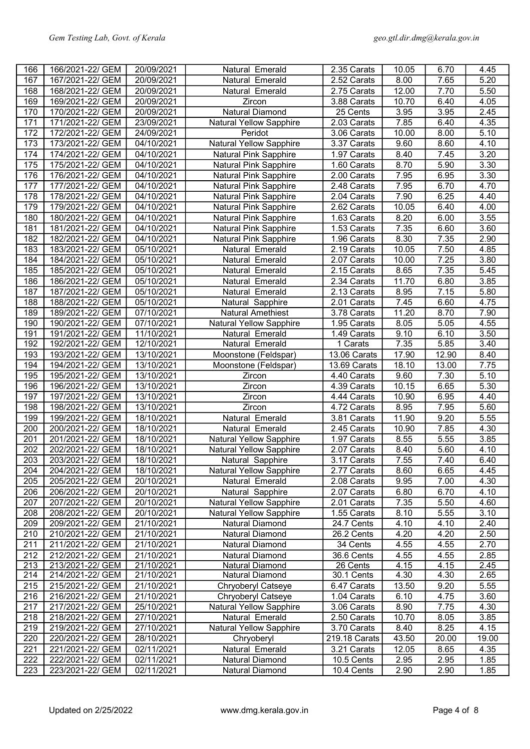| 166        | 166/2021-22/ GEM                     | 20/09/2021               | Natural Emerald                    | 2.35 Carats              | 10.05        | 6.70         | 4.45         |
|------------|--------------------------------------|--------------------------|------------------------------------|--------------------------|--------------|--------------|--------------|
| 167        | 167/2021-22/ GEM                     | 20/09/2021               | Natural Emerald                    | 2.52 Carats              | 8.00         | 7.65         | 5.20         |
| 168        | 168/2021-22/ GEM                     | 20/09/2021               | Natural Emerald                    | 2.75 Carats              | 12.00        | 7.70         | 5.50         |
| 169        | 169/2021-22/ GEM                     | 20/09/2021               | Zircon                             | 3.88 Carats              | 10.70        | 6.40         | 4.05         |
| 170        | 170/2021-22/ GEM                     | 20/09/2021               | Natural Diamond                    | 25 Cents                 | 3.95         | 3.95         | 2.45         |
| 171        | 171/2021-22/ GEM                     | 23/09/2021               | <b>Natural Yellow Sapphire</b>     | 2.03 Carats              | 7.85         | 6.40         | 4.35         |
| 172        | 172/2021-22/ GEM                     | 24/09/2021               | Peridot                            | 3.06 Carats              | 10.00        | 8.00         | 5.10         |
| 173        | 173/2021-22/ GEM                     | 04/10/2021               | <b>Natural Yellow Sapphire</b>     | 3.37 Carats              | 9.60         | 8.60         | 4.10         |
| 174        | 174/2021-22/ GEM                     | 04/10/2021               | <b>Natural Pink Sapphire</b>       | 1.97 Carats              | 8.40         | 7.45         | 3.20         |
| 175        | 175/2021-22/ GEM                     | 04/10/2021               | Natural Pink Sapphire              | 1.60 Carats              | 8.70         | 5.90         | 3.30         |
| 176        | 176/2021-22/ GEM                     | 04/10/2021               | Natural Pink Sapphire              | 2.00 Carats              | 7.95         | 6.95         | 3.30         |
| 177        | 177/2021-22/ GEM                     | 04/10/2021               | Natural Pink Sapphire              | 2.48 Carats              | 7.95         | 6.70         | 4.70         |
| 178        | 178/2021-22/ GEM                     | 04/10/2021               | <b>Natural Pink Sapphire</b>       | 2.04 Carats              | 7.90         | 6.25         | 4.40         |
| 179        | 179/2021-22/ GEM                     | 04/10/2021               | Natural Pink Sapphire              | 2.62 Carats              | 10.05        | 6.40         | 4.00         |
| 180        | 180/2021-22/ GEM                     | 04/10/2021               | <b>Natural Pink Sapphire</b>       | 1.63 Carats              | 8.20         | 6.00         | 3.55         |
| 181        | 181/2021-22/ GEM                     | 04/10/2021               | <b>Natural Pink Sapphire</b>       | 1.53 Carats              | 7.35         | 6.60         | 3.60         |
| 182        | 182/2021-22/ GEM                     | 04/10/2021               | Natural Pink Sapphire              | 1.96 Carats              | 8.30         | 7.35         | 2.90         |
| 183        | 183/2021-22/ GEM                     | 05/10/2021               | Natural Emerald                    | 2.19 Carats              | 10.05        | 7.50         | 4.85         |
| 184        | 184/2021-22/ GEM                     | 05/10/2021               | Natural Emerald                    | 2.07 Carats              | 10.00        | 7.25         | 3.80         |
| 185        |                                      |                          |                                    | $2.15$ Carats            |              | 7.35         | 5.45         |
|            | 185/2021-22/ GEM                     | 05/10/2021               | Natural Emerald                    |                          | 8.65         |              |              |
| 186        | 186/2021-22/ GEM                     | 05/10/2021               | Natural Emerald                    | 2.34 Carats              | 11.70        | 6.80         | 3.85         |
| 187        | 187/2021-22/ GEM                     | 05/10/2021               | Natural Emerald                    | 2.13 Carats              | 8.95         | 7.15         | 5.80         |
| 188        | 188/2021-22/ GEM                     | 05/10/2021               | Natural Sapphire                   | 2.01 Carats              | 7.45         | 6.60         | 4.75         |
| 189        | 189/2021-22/ GEM                     | 07/10/2021               | <b>Natural Amethiest</b>           | 3.78 Carats              | 11.20        | 8.70         | 7.90         |
| 190        | 190/2021-22/ GEM                     | 07/10/2021               | <b>Natural Yellow Sapphire</b>     | 1.95 Carats              | 8.05         | 5.05         | 4.55         |
| 191        | 191/2021-22/ GEM                     | 11/10/2021               | Natural Emerald                    | 1.49 Carats              | 9.10         | 6.10         | 3.50         |
| 192        | 192/2021-22/ GEM                     | 12/10/2021               | Natural Emerald                    | $\overline{1}$ Carats    | 7.35         | 5.85         | 3.40         |
| 193        | 193/2021-22/ GEM                     | 13/10/2021               | Moonstone (Feldspar)               | 13.06 Carats             | 17.90        | 12.90        | 8.40         |
| 194        | 194/2021-22/ GEM                     | 13/10/2021               | Moonstone (Feldspar)               | 13.69 Carats             | 18.10        | 13.00        | 7.75         |
| 195        | 195/2021-22/ GEM                     | 13/10/2021               | Zircon                             | 4.40 Carats              | 9.60         | 7.30         | 5.10         |
| 196        | 196/2021-22/ GEM                     | 13/10/2021               | Zircon                             | 4.39 Carats              | 10.15        | 6.65         | 5.30         |
| 197        | 197/2021-22/ GEM                     | 13/10/2021               | Zircon                             | 4.44 Carats              | 10.90        | 6.95         | 4.40         |
| 198        | 198/2021-22/ GEM                     | 13/10/2021               | Zircon                             | 4.72 Carats              | 8.95         | 7.95         | 5.60         |
| 199        | 199/2021-22/ GEM                     | 18/10/2021               | Natural Emerald                    | 3.81 Carats              | 11.90        | 9.20         | 5.55         |
| 200        | 200/2021-22/ GEM                     | 18/10/2021               | Natural Emerald                    | 2.45 Carats              | 10.90        | 7.85         | 4.30         |
| 201        | 201/2021-22/ GEM                     | 18/10/2021               | <b>Natural Yellow Sapphire</b>     | 1.97 Carats              | 8.55         | 5.55         | 3.85         |
| 202        | 202/2021-22/ GEM                     | 18/10/2021               | <b>Natural Yellow Sapphire</b>     | 2.07 Carats              | 8.40         | 5.60         | 4.10         |
| 203        | 203/2021-22/ GEM                     | 18/10/2021               | Natural Sapphire                   | 3.17 Carats              | 7.55         | 7.40         | 6.40         |
| 204        | 204/2021-22/ GEM                     | 18/10/2021               | <b>Natural Yellow Sapphire</b>     | 2.77 Carats              | 8.60         | 6.65         | 4.45         |
| 205        | 205/2021-22/ GEM                     | 20/10/2021               | Natural Emerald                    | 2.08 Carats              | 9.95         | 7.00         | 4.30         |
| 206        | 206/2021-22/ GEM                     | 20/10/2021               | Natural Sapphire                   | 2.07 Carats              | 6.80         | 6.70         | 4.10         |
| 207        | 207/2021-22/ GEM                     | 20/10/2021               | <b>Natural Yellow Sapphire</b>     | 2.01 Carats              | 7.35         | 5.50         | 4.60         |
| 208        | 208/2021-22/ GEM                     | 20/10/2021               | <b>Natural Yellow Sapphire</b>     | 1.55 Carats              | 8.10         | 5.55         | 3.10         |
| 209        | 209/2021-22/ GEM                     | 21/10/2021               | Natural Diamond                    | 24.7 Cents               | 4.10         | 4.10         | 2.40         |
| 210        | 210/2021-22/ GEM                     | 21/10/2021               | Natural Diamond                    | 26.2 Cents               | 4.20         | 4.20         | 2.50         |
| 211        | 211/2021-22/ GEM                     | 21/10/2021               | Natural Diamond                    | 34 Cents                 | 4.55         | 4.55         | 2.70         |
| 212        | 212/2021-22/ GEM                     | 21/10/2021               | Natural Diamond                    | 36.6 Cents               | 4.55         | 4.55         | 2.85         |
| 213        | 213/2021-22/ GEM                     | 21/10/2021               | <b>Natural Diamond</b>             | 26 Cents                 | 4.15         | 4.15         | 2.45         |
| 214        | 214/2021-22/ GEM                     | 21/10/2021               | Natural Diamond                    | 30.1 Cents               | 4.30         | 4.30         | 2.65         |
| 215        | 215/2021-22/ GEM                     | 21/10/2021               | Chryoberyl Catseye                 | 6.47 Carats              | 13.50        | 9.20         | 5.55         |
| 216        | 216/2021-22/ GEM                     | 21/10/2021               | Chryoberyl Catseye                 | 1.04 Carats              | 6.10         | 4.75         | 3.60         |
| 217        | 217/2021-22/ GEM                     | 25/10/2021               | <b>Natural Yellow Sapphire</b>     | 3.06 Carats              | 8.90         | 7.75         | 4.30         |
| 218        |                                      | 27/10/2021               | Natural Emerald                    | 2.50 Carats              | 10.70        | 8.05         | 3.85         |
|            | 218/2021-22/ GEM                     |                          |                                    |                          |              |              |              |
| 219        | 219/2021-22/ GEM                     | 27/10/2021               | <b>Natural Yellow Sapphire</b>     | 3.70 Carats              | 8.40         | 8.25         | 4.15         |
| 220        | 220/2021-22/ GEM                     | 28/10/2021               | Chryoberyl                         | 219.18 Carats            | 43.50        | 20.00        | 19.00        |
| 221        | 221/2021-22/ GEM                     | 02/11/2021               | Natural Emerald                    | 3.21 Carats              | 12.05        | 8.65         | 4.35         |
| 222<br>223 | 222/2021-22/ GEM<br>223/2021-22/ GEM | 02/11/2021<br>02/11/2021 | Natural Diamond<br>Natural Diamond | 10.5 Cents<br>10.4 Cents | 2.95<br>2.90 | 2.95<br>2.90 | 1.85<br>1.85 |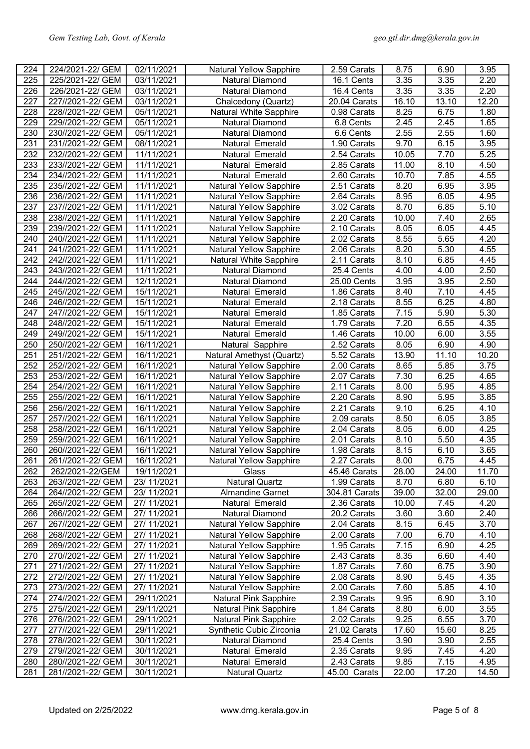| 224              | 224/2021-22/ GEM  | 02/11/2021  | Natural Yellow Sapphire        | 2.59 Carats   | 8.75         | 6.90         | 3.95  |
|------------------|-------------------|-------------|--------------------------------|---------------|--------------|--------------|-------|
| 225              | 225/2021-22/ GEM  | 03/11/2021  | Natural Diamond                | 16.1 Cents    | 3.35         | 3.35         | 2.20  |
| 226              | 226/2021-22/ GEM  | 03/11/2021  | <b>Natural Diamond</b>         | 16.4 Cents    | 3.35         | 3.35         | 2.20  |
| 227              | 227//2021-22/ GEM | 03/11/2021  | Chalcedony (Quartz)            | 20.04 Carats  | 16.10        | 13.10        | 12.20 |
| 228              | 228//2021-22/ GEM | 05/11/2021  | Natural White Sapphire         | 0.98 Carats   | 8.25         | 6.75         | 1.80  |
| 229              | 229//2021-22/ GEM | 05/11/2021  | <b>Natural Diamond</b>         | 6.8 Cents     | 2.45         | 2.45         | 1.65  |
| 230              | 230//2021-22/ GEM | 05/11/2021  | Natural Diamond                | 6.6 Cents     | 2.55         | 2.55         | 1.60  |
| 231              | 231//2021-22/ GEM | 08/11/2021  | Natural Emerald                | 1.90 Carats   | 9.70         | 6.15         | 3.95  |
| 232              | 232//2021-22/ GEM | 11/11/2021  | Natural Emerald                | 2.54 Carats   | 10.05        | 7.70         | 5.25  |
| 233              | 233//2021-22/ GEM | 11/11/2021  | Natural Emerald                | 2.85 Carats   | 11.00        | 8.10         | 4.50  |
| 234              | 234//2021-22/ GEM | 11/11/2021  | Natural Emerald                | 2.60 Carats   | 10.70        | 7.85         | 4.55  |
| 235              | 235//2021-22/ GEM | 11/11/2021  | <b>Natural Yellow Sapphire</b> | 2.51 Carats   | 8.20         | 6.95         | 3.95  |
| 236              | 236//2021-22/ GEM | 11/11/2021  |                                | 2.64 Carats   | 8.95         | 6.05         | 4.95  |
| 237              |                   |             | <b>Natural Yellow Sapphire</b> | 3.02 Carats   | 8.70         | 6.85         | 5.10  |
|                  | 237//2021-22/ GEM | 11/11/2021  | Natural Yellow Sapphire        |               |              |              |       |
| 238              | 238//2021-22/ GEM | 11/11/2021  | Natural Yellow Sapphire        | 2.20 Carats   | 10.00        | 7.40         | 2.65  |
| 239              | 239//2021-22/ GEM | 11/11/2021  | Natural Yellow Sapphire        | 2.10 Carats   | 8.05         | 6.05         | 4.45  |
| 240              | 240//2021-22/ GEM | 11/11/2021  | Natural Yellow Sapphire        | 2.02 Carats   | 8.55         | 5.65         | 4.20  |
| 241              | 241//2021-22/ GEM | 11/11/2021  | Natural Yellow Sapphire        | 2.06 Carats   | 8.20         | 5.30         | 4.55  |
| 242              | 242//2021-22/ GEM | 11/11/2021  | <b>Natural White Sapphire</b>  | 2.11 Carats   | 8.10         | 6.85         | 4.45  |
| $\overline{243}$ | 243//2021-22/ GEM | 11/11/2021  | <b>Natural Diamond</b>         | 25.4 Cents    | 4.00         | 4.00         | 2.50  |
| 244              | 244//2021-22/ GEM | 12/11/2021  | <b>Natural Diamond</b>         | 25.00 Cents   | 3.95         | 3.95         | 2.50  |
| 245              | 245//2021-22/ GEM | 15/11/2021  | Natural Emerald                | 1.86 Carats   | 8.40         | 7.10         | 4.45  |
| 246              | 246//2021-22/ GEM | 15/11/2021  | Natural Emerald                | 2.18 Carats   | 8.55         | 6.25         | 4.80  |
| 247              | 247//2021-22/ GEM | 15/11/2021  | Natural Emerald                | 1.85 Carats   | 7.15         | 5.90         | 5.30  |
| 248              | 248//2021-22/ GEM | 15/11/2021  | Natural Emerald                | 1.79 Carats   | 7.20         | 6.55         | 4.35  |
| 249              | 249//2021-22/ GEM | 15/11/2021  | Natural Emerald                | 1.46 Carats   | 10.00        | 6.00         | 3.55  |
| 250              | 250//2021-22/ GEM | 16/11/2021  | Natural Sapphire               | 2.52 Carats   | 8.05         | 6.90         | 4.90  |
| 251              | 251//2021-22/ GEM | 16/11/2021  | Natural Amethyst (Quartz)      | 5.52 Carats   | 13.90        | 11.10        | 10.20 |
| 252              | 252//2021-22/ GEM | 16/11/2021  | <b>Natural Yellow Sapphire</b> | 2.00 Carats   | 8.65         | 5.85         | 3.75  |
| 253              | 253//2021-22/ GEM | 16/11/2021  | <b>Natural Yellow Sapphire</b> | 2.07 Carats   | 7.30         | 6.25         | 4.65  |
| 254              | 254//2021-22/ GEM | 16/11/2021  | <b>Natural Yellow Sapphire</b> | 2.11 Carats   | 8.00         | 5.95         | 4.85  |
| 255              | 255//2021-22/ GEM | 16/11/2021  | <b>Natural Yellow Sapphire</b> | 2.20 Carats   | 8.90         | 5.95         | 3.85  |
| 256              | 256//2021-22/ GEM | 16/11/2021  | <b>Natural Yellow Sapphire</b> | 2.21 Carats   | 9.10         | 6.25         | 4.10  |
| 257              | 257//2021-22/ GEM | 16/11/2021  | <b>Natural Yellow Sapphire</b> | 2.09 carats   | 8.50         | 6.05         | 3.85  |
| 258              | 258//2021-22/ GEM | 16/11/2021  | <b>Natural Yellow Sapphire</b> | 2.04 Carats   | 8.05         | 6.00         | 4.25  |
| 259              | 259//2021-22/ GEM | 16/11/2021  | <b>Natural Yellow Sapphire</b> | 2.01 Carats   | 8.10         | 5.50         | 4.35  |
| 260              | 260//2021-22/ GEM | 16/11/2021  | <b>Natural Yellow Sapphire</b> | 1.98 Carats   | 8.15         | 6.10         | 3.65  |
| 261              | 261//2021-22/ GEM | 16/11/2021  | Natural Yellow Sapphire        | 2.27 Carats   | 8.00         | 6.75         | 4.45  |
| 262              | 262/2021-22/GEM   | 19/11/2021  | Glass                          | 45.46 Carats  | 28.00        | 24.00        | 11.70 |
| 263              | 263//2021-22/ GEM | 23/11/2021  | <b>Natural Quartz</b>          | 1.99 Carats   | 8.70         | 6.80         | 6.10  |
| 264              | 264//2021-22/ GEM | 23/11/2021  | <b>Almandine Garnet</b>        | 304.81 Carats | 39.00        | 32.00        | 29.00 |
| 265              | 265//2021-22/ GEM | 27/ 11/2021 | Natural Emerald                | 2.36 Carats   | 10.00        | 7.45         | 4.20  |
| 266              | 266//2021-22/ GEM | 27/ 11/2021 | Natural Diamond                | 20.2 Carats   | 3.60         | 3.60         | 2.40  |
| 267              | 267//2021-22/ GEM | 27/ 11/2021 | <b>Natural Yellow Sapphire</b> | 2.04 Carats   | 8.15         | 6.45         | 3.70  |
| 268              | 268//2021-22/ GEM |             | <b>Natural Yellow Sapphire</b> |               |              |              | 4.10  |
| 269              | 269//2021-22/ GEM | 27/ 11/2021 | <b>Natural Yellow Sapphire</b> | 2.00 Carats   | 7.00<br>7.15 | 6.70<br>6.90 | 4.25  |
|                  |                   | 27/ 11/2021 |                                | 1.95 Carats   |              |              |       |
| 270              | 270//2021-22/ GEM | 27/ 11/2021 | <b>Natural Yellow Sapphire</b> | 2.43 Carats   | 8.35         | 6.60         | 4.40  |
| 271              | 271//2021-22/ GEM | 27/ 11/2021 | <b>Natural Yellow Sapphire</b> | 1.87 Carats   | 7.60         | 6.75         | 3.90  |
| 272              | 272//2021-22/ GEM | 27/ 11/2021 | <b>Natural Yellow Sapphire</b> | 2.08 Carats   | 8.90         | 5.45         | 4.35  |
| 273              | 273//2021-22/ GEM | 27/ 11/2021 | <b>Natural Yellow Sapphire</b> | 2.00 Carats   | 7.60         | 5.85         | 4.10  |
| 274              | 274//2021-22/ GEM | 29/11/2021  | <b>Natural Pink Sapphire</b>   | 2.39 Carats   | 9.95         | 6.90         | 3.10  |
| 275              | 275//2021-22/ GEM | 29/11/2021  | <b>Natural Pink Sapphire</b>   | 1.84 Carats   | 8.80         | 6.00         | 3.55  |
| 276              | 276//2021-22/ GEM | 29/11/2021  | Natural Pink Sapphire          | 2.02 Carats   | 9.25         | 6.55         | 3.70  |
| 277              | 277//2021-22/ GEM | 29/11/2021  | Synthetic Cubic Zirconia       | 21.02 Carats  | 17.60        | 15.60        | 8.25  |
| 278              | 278//2021-22/ GEM | 30/11/2021  | Natural Diamond                | 25.4 Cents    | 3.90         | 3.90         | 2.55  |
| 279              | 279//2021-22/ GEM | 30/11/2021  | Natural Emerald                | 2.35 Carats   | 9.95         | 7.45         | 4.20  |
| 280              | 280//2021-22/ GEM | 30/11/2021  | Natural Emerald                | 2.43 Carats   | 9.85         | 7.15         | 4.95  |
| 281              | 281//2021-22/ GEM | 30/11/2021  | <b>Natural Quartz</b>          | 45.00 Carats  | 22.00        | 17.20        | 14.50 |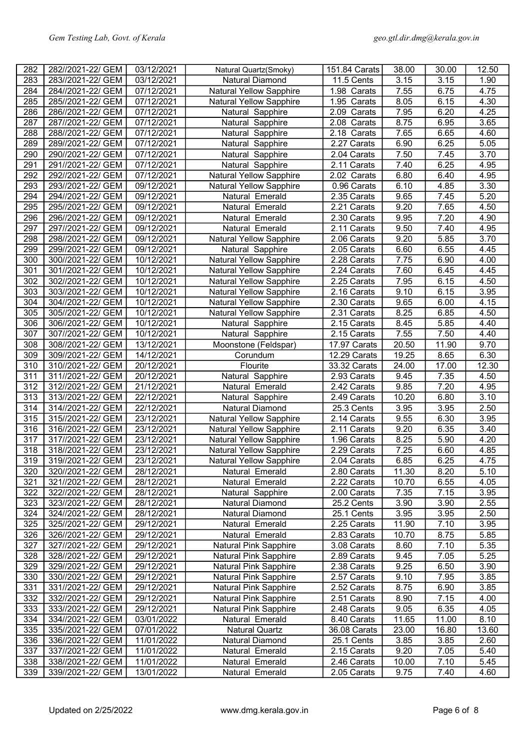| 282 | 282//2021-22/ GEM | 03/12/2021 | Natural Quartz(Smoky)          | 151.84 Carats | 38.00 | 30.00 | 12.50 |
|-----|-------------------|------------|--------------------------------|---------------|-------|-------|-------|
| 283 | 283//2021-22/ GEM | 03/12/2021 | <b>Natural Diamond</b>         | 11.5 Cents    | 3.15  | 3.15  | 1.90  |
| 284 | 284//2021-22/ GEM | 07/12/2021 | <b>Natural Yellow Sapphire</b> | 1.98 Carats   | 7.55  | 6.75  | 4.75  |
| 285 | 285//2021-22/ GEM | 07/12/2021 | <b>Natural Yellow Sapphire</b> | 1.95 Carats   | 8.05  | 6.15  | 4.30  |
| 286 | 286//2021-22/ GEM | 07/12/2021 | Natural Sapphire               | 2.09 Carats   | 7.95  | 6.20  | 4.25  |
| 287 | 287//2021-22/ GEM | 07/12/2021 | Natural Sapphire               | 2.08 Carats   | 8.75  | 6.95  | 3.65  |
| 288 | 288//2021-22/ GEM | 07/12/2021 | Natural Sapphire               | 2.18 Carats   | 7.65  | 6.65  | 4.60  |
| 289 | 289//2021-22/ GEM | 07/12/2021 | Natural Sapphire               | 2.27 Carats   | 6.90  | 6.25  | 5.05  |
| 290 | 290//2021-22/ GEM | 07/12/2021 | Natural Sapphire               | 2.04 Carats   | 7.50  | 7.45  | 3.70  |
| 291 | 291//2021-22/ GEM | 07/12/2021 | Natural Sapphire               | 2.11 Carats   | 7.40  | 6.25  | 4.95  |
| 292 | 292//2021-22/ GEM | 07/12/2021 | Natural Yellow Sapphire        | 2.02 Carats   | 6.80  | 6.40  | 4.95  |
| 293 |                   |            |                                |               |       |       | 3.30  |
|     | 293//2021-22/ GEM | 09/12/2021 | <b>Natural Yellow Sapphire</b> | 0.96 Carats   | 6.10  | 4.85  |       |
| 294 | 294//2021-22/ GEM | 09/12/2021 | Natural Emerald                | 2.35 Carats   | 9.65  | 7.45  | 5.20  |
| 295 | 295//2021-22/ GEM | 09/12/2021 | Natural Emerald                | 2.21 Carats   | 9.20  | 7.65  | 4.50  |
| 296 | 296//2021-22/ GEM | 09/12/2021 | Natural Emerald                | 2.30 Carats   | 9.95  | 7.20  | 4.90  |
| 297 | 297//2021-22/ GEM | 09/12/2021 | Natural Emerald                | 2.11 Carats   | 9.50  | 7.40  | 4.95  |
| 298 | 298//2021-22/ GEM | 09/12/2021 | <b>Natural Yellow Sapphire</b> | 2.06 Carats   | 9.20  | 5.85  | 3.70  |
| 299 | 299//2021-22/ GEM | 09/12/2021 | Natural Sapphire               | 2.05 Carats   | 6.60  | 6.55  | 4.45  |
| 300 | 300//2021-22/ GEM | 10/12/2021 | <b>Natural Yellow Sapphire</b> | 2.28 Carats   | 7.75  | 6.90  | 4.00  |
| 301 | 301//2021-22/ GEM | 10/12/2021 | <b>Natural Yellow Sapphire</b> | 2.24 Carats   | 7.60  | 6.45  | 4.45  |
| 302 | 302//2021-22/ GEM | 10/12/2021 | <b>Natural Yellow Sapphire</b> | 2.25 Carats   | 7.95  | 6.15  | 4.50  |
| 303 | 303//2021-22/ GEM | 10/12/2021 | <b>Natural Yellow Sapphire</b> | 2.16 Carats   | 9.10  | 6.15  | 3.95  |
| 304 | 304//2021-22/ GEM | 10/12/2021 | <b>Natural Yellow Sapphire</b> | 2.30 Carats   | 9.65  | 6.00  | 4.15  |
| 305 | 305//2021-22/ GEM | 10/12/2021 | Natural Yellow Sapphire        | 2.31 Carats   | 8.25  | 6.85  | 4.50  |
| 306 | 306//2021-22/ GEM | 10/12/2021 | Natural Sapphire               | 2.15 Carats   | 8.45  | 5.85  | 4.40  |
| 307 | 307//2021-22/ GEM | 10/12/2021 | Natural Sapphire               | 2.15 Carats   | 7.55  | 7.50  | 4.40  |
| 308 | 308//2021-22/ GEM | 13/12/2021 | Moonstone (Feldspar)           | 17.97 Carats  | 20.50 | 11.90 | 9.70  |
| 309 | 309//2021-22/ GEM | 14/12/2021 | Corundum                       | 12.29 Carats  | 19.25 | 8.65  | 6.30  |
| 310 | 310//2021-22/ GEM | 20/12/2021 | Flourite                       | 33.32 Carats  | 24.00 | 17.00 | 12.30 |
| 311 | 311//2021-22/ GEM | 20/12/2021 | Natural Sapphire               | 2.93 Carats   | 9.45  | 7.35  | 4.50  |
| 312 | 312//2021-22/ GEM | 21/12/2021 | Natural Emerald                | 2.42 Carats   | 9.85  | 7.20  | 4.95  |
| 313 | 313//2021-22/ GEM | 22/12/2021 | Natural Sapphire               | 2.49 Carats   | 10.20 | 6.80  | 3.10  |
| 314 | 314//2021-22/ GEM | 22/12/2021 | <b>Natural Diamond</b>         | 25.3 Cents    | 3.95  | 3.95  | 2.50  |
| 315 | 315//2021-22/ GEM | 23/12/2021 | <b>Natural Yellow Sapphire</b> | 2.14 Carats   | 9.55  | 6.30  | 3.95  |
| 316 | 316//2021-22/ GEM | 23/12/2021 | <b>Natural Yellow Sapphire</b> | 2.11 Carats   | 9.20  | 6.35  | 3.40  |
| 317 | 317//2021-22/ GEM | 23/12/2021 | <b>Natural Yellow Sapphire</b> | 1.96 Carats   | 8.25  | 5.90  | 4.20  |
| 318 | 318//2021-22/ GEM | 23/12/2021 | <b>Natural Yellow Sapphire</b> | 2.29 Carats   | 7.25  | 6.60  | 4.85  |
| 319 | 319//2021-22/ GEM | 23/12/2021 | <b>Natural Yellow Sapphire</b> | 2.04 Carats   | 6.85  | 6.25  | 4.75  |
| 320 | 320//2021-22/ GEM | 28/12/2021 | Natural Emerald                | 2.80 Carats   | 11.30 | 8.20  | 5.10  |
| 321 | 321//2021-22/ GEM | 28/12/2021 | Natural Emerald                | 2.22 Carats   | 10.70 | 6.55  | 4.05  |
| 322 | 322//2021-22/ GEM | 28/12/2021 | Natural Sapphire               | 2.00 Carats   | 7.35  | 7.15  | 3.95  |
| 323 | 323//2021-22/ GEM | 28/12/2021 | Natural Diamond                | 25.2 Cents    | 3.90  | 3.90  | 2.55  |
| 324 | 324//2021-22/ GEM | 28/12/2021 | Natural Diamond                | 25.1 Cents    | 3.95  | 3.95  | 2.50  |
| 325 | 325//2021-22/ GEM | 29/12/2021 | Natural Emerald                | 2.25 Carats   | 11.90 | 7.10  | 3.95  |
| 326 | 326//2021-22/ GEM | 29/12/2021 | Natural Emerald                | 2.83 Carats   | 10.70 | 8.75  | 5.85  |
| 327 | 327//2021-22/ GEM | 29/12/2021 | <b>Natural Pink Sapphire</b>   | 3.08 Carats   | 8.60  | 7.10  | 5.35  |
| 328 | 328//2021-22/ GEM | 29/12/2021 | <b>Natural Pink Sapphire</b>   | 2.89 Carats   | 9.45  | 7.05  | 5.25  |
| 329 | 329//2021-22/ GEM | 29/12/2021 | Natural Pink Sapphire          | 2.38 Carats   | 9.25  | 6.50  | 3.90  |
| 330 | 330//2021-22/ GEM | 29/12/2021 | Natural Pink Sapphire          | 2.57 Carats   | 9.10  | 7.95  | 3.85  |
| 331 | 331//2021-22/ GEM | 29/12/2021 | Natural Pink Sapphire          | 2.52 Carats   | 8.75  | 6.90  | 3.85  |
| 332 | 332//2021-22/ GEM | 29/12/2021 | <b>Natural Pink Sapphire</b>   | 2.51 Carats   | 8.90  | 7.15  | 4.00  |
| 333 | 333//2021-22/ GEM | 29/12/2021 | <b>Natural Pink Sapphire</b>   | 2.48 Carats   | 9.05  | 6.35  | 4.05  |
| 334 | 334//2021-22/ GEM | 03/01/2022 | Natural Emerald                | 8.40 Carats   | 11.65 | 11.00 | 8.10  |
| 335 | 335//2021-22/ GEM | 07/01/2022 | <b>Natural Quartz</b>          | 36.08 Carats  | 23.00 | 16.80 | 13.60 |
| 336 | 336//2021-22/ GEM | 11/01/2022 | Natural Diamond                | 25.1 Cents    | 3.85  | 3.85  | 2.60  |
| 337 | 337//2021-22/ GEM | 11/01/2022 | Natural Emerald                | 2.15 Carats   | 9.20  | 7.05  | 5.40  |
| 338 | 338//2021-22/ GEM | 11/01/2022 | Natural Emerald                | 2.46 Carats   | 10.00 | 7.10  | 5.45  |
| 339 | 339//2021-22/ GEM | 13/01/2022 | Natural Emerald                | 2.05 Carats   | 9.75  | 7.40  | 4.60  |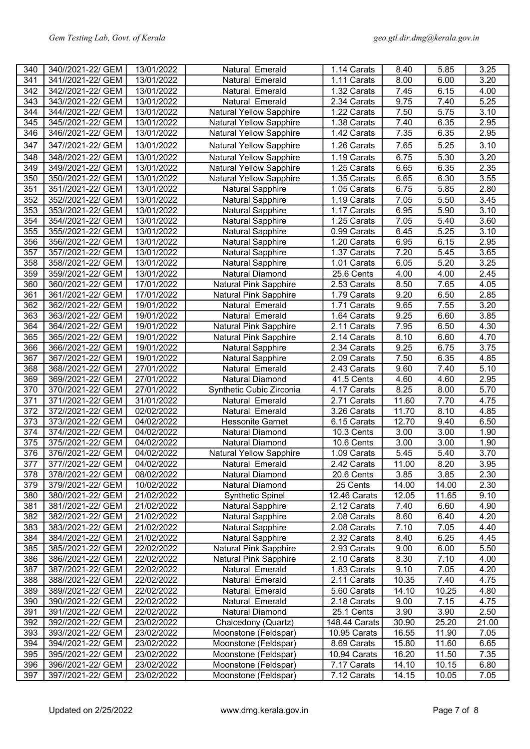| 340              | 340//2021-22/ GEM | 13/01/2022 | Natural Emerald                | 1.14 Carats   | 8.40  | 5.85              | 3.25  |
|------------------|-------------------|------------|--------------------------------|---------------|-------|-------------------|-------|
| 341              | 341//2021-22/ GEM | 13/01/2022 | Natural Emerald                | 1.11 Carats   | 8.00  | 6.00              | 3.20  |
| 342              | 342//2021-22/ GEM | 13/01/2022 | Natural Emerald                | 1.32 Carats   | 7.45  | 6.15              | 4.00  |
| 343              | 343//2021-22/ GEM | 13/01/2022 | Natural Emerald                | 2.34 Carats   | 9.75  | 7.40              | 5.25  |
| 344              | 344//2021-22/ GEM | 13/01/2022 | <b>Natural Yellow Sapphire</b> | 1.22 Carats   | 7.50  | 5.75              | 3.10  |
| 345              | 345//2021-22/ GEM | 13/01/2022 | <b>Natural Yellow Sapphire</b> | 1.38 Carats   | 7.40  | 6.35              | 2.95  |
| 346              | 346//2021-22/ GEM | 13/01/2022 | Natural Yellow Sapphire        | 1.42 Carats   | 7.35  | 6.35              | 2.95  |
| 347              | 347//2021-22/ GEM | 13/01/2022 | <b>Natural Yellow Sapphire</b> | 1.26 Carats   | 7.65  | 5.25              | 3.10  |
| 348              | 348//2021-22/ GEM | 13/01/2022 | <b>Natural Yellow Sapphire</b> | 1.19 Carats   | 6.75  | 5.30              | 3.20  |
| 349              | 349//2021-22/ GEM | 13/01/2022 | <b>Natural Yellow Sapphire</b> | 1.25 Carats   | 6.65  | 6.35              | 2.35  |
| 350              | 350//2021-22/ GEM | 13/01/2022 | <b>Natural Yellow Sapphire</b> | 1.35 Carats   | 6.65  | 6.30              | 3.55  |
| 351              | 351//2021-22/ GEM | 13/01/2022 | <b>Natural Sapphire</b>        | 1.05 Carats   | 6.75  | 5.85              | 2.80  |
| 352              | 352//2021-22/ GEM | 13/01/2022 | <b>Natural Sapphire</b>        | 1.19 Carats   | 7.05  | 5.50              | 3.45  |
| 353              | 353//2021-22/ GEM | 13/01/2022 | <b>Natural Sapphire</b>        | 1.17 Carats   | 6.95  | 5.90              | 3.10  |
| 354              | 354//2021-22/ GEM | 13/01/2022 | <b>Natural Sapphire</b>        | 1.25 Carats   | 7.05  | 5.40              | 3.60  |
| 355              | 355//2021-22/ GEM | 13/01/2022 | <b>Natural Sapphire</b>        | 0.99 Carats   | 6.45  | 5.25              | 3.10  |
| 356              | 356//2021-22/ GEM | 13/01/2022 | <b>Natural Sapphire</b>        | 1.20 Carats   | 6.95  | 6.15              | 2.95  |
| 357              | 357//2021-22/ GEM | 13/01/2022 | <b>Natural Sapphire</b>        | 1.37 Carats   | 7.20  | 5.45              | 3.65  |
| 358              | 358//2021-22/ GEM | 13/01/2022 | <b>Natural Sapphire</b>        | 1.01 Carats   | 6.05  | 5.20              | 3.25  |
| 359              | 359//2021-22/ GEM | 13/01/2022 |                                | 25.6 Cents    | 4.00  | 4.00              | 2.45  |
| 360              |                   |            | Natural Diamond                | 2.53 Carats   | 8.50  | 7.65              | 4.05  |
|                  | 360//2021-22/ GEM | 17/01/2022 | Natural Pink Sapphire          |               |       |                   |       |
| 361              | 361//2021-22/ GEM | 17/01/2022 | Natural Pink Sapphire          | 1.79 Carats   | 9.20  | 6.50              | 2.85  |
| 362              | 362//2021-22/ GEM | 19/01/2022 | Natural Emerald                | 1.71 Carats   | 9.65  | 7.55              | 3.20  |
| 363              | 363//2021-22/ GEM | 19/01/2022 | Natural Emerald                | 1.64 Carats   | 9.25  | 6.60              | 3.85  |
| 364              | 364//2021-22/ GEM | 19/01/2022 | Natural Pink Sapphire          | 2.11 Carats   | 7.95  | 6.50              | 4.30  |
| 365              | 365//2021-22/ GEM | 19/01/2022 | <b>Natural Pink Sapphire</b>   | 2.14 Carats   | 8.10  | 6.60              | 4.70  |
| 366              | 366//2021-22/ GEM | 19/01/2022 | <b>Natural Sapphire</b>        | 2.34 Carats   | 9.25  | 6.75              | 3.75  |
| 367              | 367//2021-22/ GEM | 19/01/2022 | <b>Natural Sapphire</b>        | 2.09 Carats   | 7.50  | 6.35              | 4.85  |
| 368              | 368//2021-22/ GEM | 27/01/2022 | Natural Emerald                | 2.43 Carats   | 9.60  | 7.40              | 5.10  |
| 369              | 369//2021-22/ GEM | 27/01/2022 | Natural Diamond                | 41.5 Cents    | 4.60  | 4.60              | 2.95  |
| 370              | 370//2021-22/ GEM | 27/01/2022 | Synthetic Cubic Zirconia       | 4.17 Carats   | 8.25  | 8.00              | 5.70  |
| 371              | 371//2021-22/ GEM | 31/01/2022 | Natural Emerald                | 2.71 Carats   | 11.60 | 7.70              | 4.75  |
| 372              | 372//2021-22/ GEM | 02/02/2022 | Natural Emerald                | 3.26 Carats   | 11.70 | 8.10              | 4.85  |
| 373              | 373//2021-22/ GEM | 04/02/2022 | <b>Hessonite Garnet</b>        | 6.15 Carats   | 12.70 | 9.40              | 6.50  |
| 374              | 374//2021-22/ GEM | 04/02/2022 | Natural Diamond                | 10.3 Cents    | 3.00  | 3.00              | 1.90  |
| 375              | 375//2021-22/ GEM | 04/02/2022 | <b>Natural Diamond</b>         | 10.6 Cents    | 3.00  | $\overline{3.00}$ | 1.90  |
| 376              | 376//2021-22/ GEM | 04/02/2022 | <b>Natural Yellow Sapphire</b> | 1.09 Carats   | 5.45  | 5.40              | 3.70  |
| $\overline{377}$ | 377//2021-22/ GEM | 04/02/2022 | Natural Emerald                | 2.42 Carats   | 11.00 | 8.20              | 3.95  |
| 378              | 378//2021-22/ GEM | 08/02/2022 | Natural Diamond                | 20.6 Cents    | 3.85  | 3.85              | 2.30  |
| 379              | 379//2021-22/ GEM | 10/02/2022 | Natural Diamond                | 25 Cents      | 14.00 | 14.00             | 2.30  |
| 380              | 380//2021-22/ GEM | 21/02/2022 | <b>Synthetic Spinel</b>        | 12.46 Carats  | 12.05 | 11.65             | 9.10  |
| 381              | 381//2021-22/ GEM | 21/02/2022 | <b>Natural Sapphire</b>        | 2.12 Carats   | 7.40  | 6.60              | 4.90  |
| 382              | 382//2021-22/ GEM | 21/02/2022 | <b>Natural Sapphire</b>        | 2.08 Carats   | 8.60  | 6.40              | 4.20  |
| 383              | 383//2021-22/ GEM | 21/02/2022 | <b>Natural Sapphire</b>        | 2.08 Carats   | 7.10  | 7.05              | 4.40  |
| 384              | 384//2021-22/ GEM | 21/02/2022 | <b>Natural Sapphire</b>        | 2.32 Carats   | 8.40  | 6.25              | 4.45  |
| 385              | 385//2021-22/ GEM | 22/02/2022 | <b>Natural Pink Sapphire</b>   | 2.93 Carats   | 9.00  | 6.00              | 5.50  |
| 386              | 386//2021-22/ GEM | 22/02/2022 | Natural Pink Sapphire          | 2.10 Carats   | 8.30  | 7.10              | 4.00  |
| 387              | 387//2021-22/ GEM | 22/02/2022 | Natural Emerald                | 1.83 Carats   | 9.10  | 7.05              | 4.20  |
| 388              | 388//2021-22/ GEM | 22/02/2022 | Natural Emerald                | 2.11 Carats   | 10.35 | 7.40              | 4.75  |
| 389              | 389//2021-22/ GEM | 22/02/2022 | Natural Emerald                | 5.60 Carats   | 14.10 | 10.25             | 4.80  |
| 390              | 390//2021-22/ GEM | 22/02/2022 | Natural Emerald                | 2.18 Carats   | 9.00  | 7.15              | 4.75  |
| 391              | 391//2021-22/ GEM | 22/02/2022 | Natural Diamond                | 25.1 Cents    | 3.90  | 3.90              | 2.50  |
| 392              | 392//2021-22/ GEM | 23/02/2022 | Chalcedony (Quartz)            | 148.44 Carats | 30.90 | 25.20             | 21.00 |
| 393              | 393//2021-22/ GEM | 23/02/2022 | Moonstone (Feldspar)           | 10.95 Carats  | 16.55 | 11.90             | 7.05  |
| 394              | 394//2021-22/ GEM | 23/02/2022 | Moonstone (Feldspar)           | 8.69 Carats   | 15.80 | 11.60             | 6.65  |
| 395              | 395//2021-22/ GEM | 23/02/2022 | Moonstone (Feldspar)           | 10.94 Carats  | 16.20 | 11.50             | 7.35  |
| 396              | 396//2021-22/ GEM | 23/02/2022 | Moonstone (Feldspar)           | 7.17 Carats   | 14.10 | 10.15             | 6.80  |
| 397              | 397//2021-22/ GEM | 23/02/2022 | Moonstone (Feldspar)           | 7.12 Carats   | 14.15 | 10.05             | 7.05  |